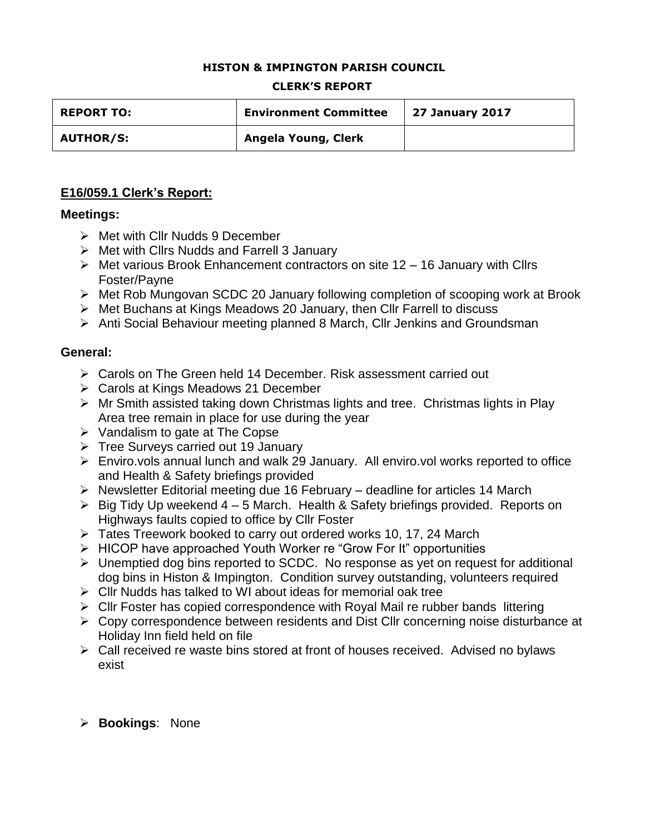#### **HISTON & IMPINGTON PARISH COUNCIL**

#### **CLERK'S REPORT**

| <b>REPORT TO:</b> | <b>Environment Committee</b> | <b>27 January 2017</b> |
|-------------------|------------------------------|------------------------|
| <b>AUTHOR/S:</b>  | Angela Young, Clerk          |                        |

### **E16/059.1 Clerk's Report:**

#### **Meetings:**

- $\triangleright$  Met with Cllr Nudds 9 December
- $\triangleright$  Met with Cllrs Nudds and Farrell 3 January
- $\triangleright$  Met various Brook Enhancement contractors on site 12 16 January with Cllrs Foster/Payne
- Met Rob Mungovan SCDC 20 January following completion of scooping work at Brook
- $\triangleright$  Met Buchans at Kings Meadows 20 January, then CIIr Farrell to discuss
- Anti Social Behaviour meeting planned 8 March, Cllr Jenkins and Groundsman

#### **General:**

- Carols on The Green held 14 December. Risk assessment carried out
- **► Carols at Kings Meadows 21 December**
- Mr Smith assisted taking down Christmas lights and tree. Christmas lights in Play Area tree remain in place for use during the year
- $\triangleright$  Vandalism to gate at The Copse
- $\triangleright$  Tree Surveys carried out 19 January
- Enviro.vols annual lunch and walk 29 January. All enviro.vol works reported to office and Health & Safety briefings provided
- $\triangleright$  Newsletter Editorial meeting due 16 February deadline for articles 14 March
- $\triangleright$  Big Tidy Up weekend 4 5 March. Health & Safety briefings provided. Reports on Highways faults copied to office by Cllr Foster
- $\triangleright$  Tates Treework booked to carry out ordered works 10, 17, 24 March
- HICOP have approached Youth Worker re "Grow For It" opportunities
- Unemptied dog bins reported to SCDC. No response as yet on request for additional dog bins in Histon & Impington. Condition survey outstanding, volunteers required
- $\triangleright$  Cllr Nudds has talked to WI about ideas for memorial oak tree
- $\triangleright$  Cllr Foster has copied correspondence with Royal Mail re rubber bands littering
- Copy correspondence between residents and Dist Cllr concerning noise disturbance at Holiday Inn field held on file
- Call received re waste bins stored at front of houses received. Advised no bylaws exist

### **Bookings**: None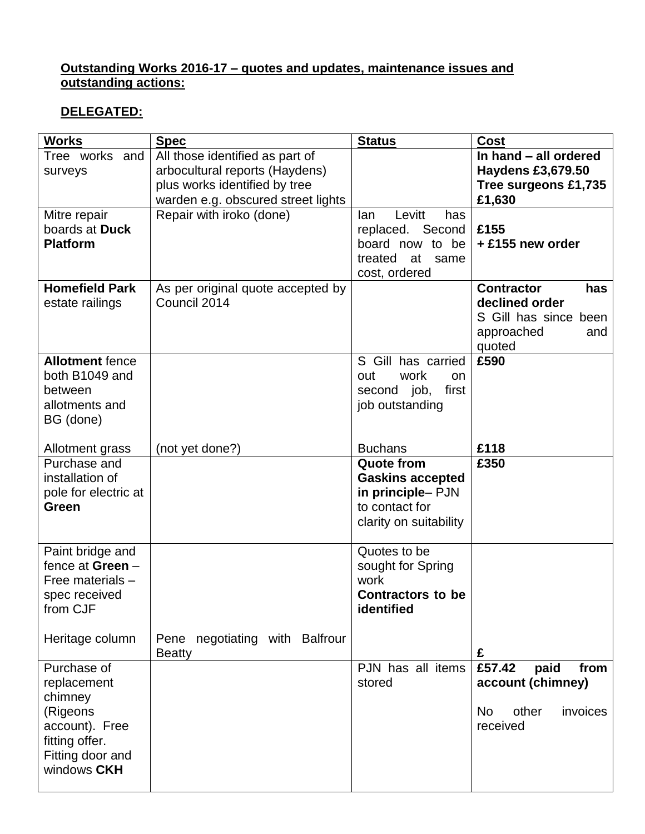### **Outstanding Works 2016-17 – quotes and updates, maintenance issues and outstanding actions:**

## **DELEGATED:**

| <b>Works</b>           | <b>Spec</b>                        | <b>Status</b>                          | <b>Cost</b>              |
|------------------------|------------------------------------|----------------------------------------|--------------------------|
| Tree works and         | All those identified as part of    |                                        | In hand - all ordered    |
| surveys                | arbocultural reports (Haydens)     |                                        | <b>Haydens £3,679.50</b> |
|                        | plus works identified by tree      |                                        | Tree surgeons £1,735     |
|                        | warden e.g. obscured street lights |                                        | £1,630                   |
| Mitre repair           | Repair with iroko (done)           | Levitt<br>has<br>lan                   |                          |
| boards at Duck         |                                    | replaced. Second                       | £155                     |
| <b>Platform</b>        |                                    | board now to be                        | + £155 new order         |
|                        |                                    | treated<br>at<br>same<br>cost, ordered |                          |
| <b>Homefield Park</b>  | As per original quote accepted by  |                                        | <b>Contractor</b><br>has |
| estate railings        | Council 2014                       |                                        | declined order           |
|                        |                                    |                                        | S Gill has since been    |
|                        |                                    |                                        | approached<br>and        |
|                        |                                    |                                        | quoted                   |
| <b>Allotment fence</b> |                                    | S Gill has carried                     | £590                     |
| both B1049 and         |                                    | work<br>out<br><b>on</b>               |                          |
| between                |                                    | first<br>second job,                   |                          |
| allotments and         |                                    | job outstanding                        |                          |
| BG (done)              |                                    |                                        |                          |
|                        |                                    |                                        |                          |
| Allotment grass        | (not yet done?)                    | <b>Buchans</b>                         | £118                     |
| Purchase and           |                                    | <b>Quote from</b>                      | £350                     |
| installation of        |                                    | <b>Gaskins accepted</b>                |                          |
| pole for electric at   |                                    | in principle-PJN                       |                          |
| <b>Green</b>           |                                    | to contact for                         |                          |
|                        |                                    | clarity on suitability                 |                          |
| Paint bridge and       |                                    | Quotes to be                           |                          |
| fence at Green $-$     |                                    | sought for Spring                      |                          |
| Free materials -       |                                    | work                                   |                          |
| spec received          |                                    | <b>Contractors to be</b>               |                          |
| from CJF               |                                    | identified                             |                          |
|                        |                                    |                                        |                          |
| Heritage column        | Pene negotiating with Balfrour     |                                        |                          |
|                        | <b>Beatty</b>                      |                                        | £                        |
| Purchase of            |                                    | PJN has all items                      | £57.42<br>paid<br>from   |
| replacement            |                                    | stored                                 | account (chimney)        |
| chimney                |                                    |                                        |                          |
| (Rigeons               |                                    |                                        | other<br>No<br>invoices  |
| account). Free         |                                    |                                        | received                 |
| fitting offer.         |                                    |                                        |                          |
| Fitting door and       |                                    |                                        |                          |
| windows CKH            |                                    |                                        |                          |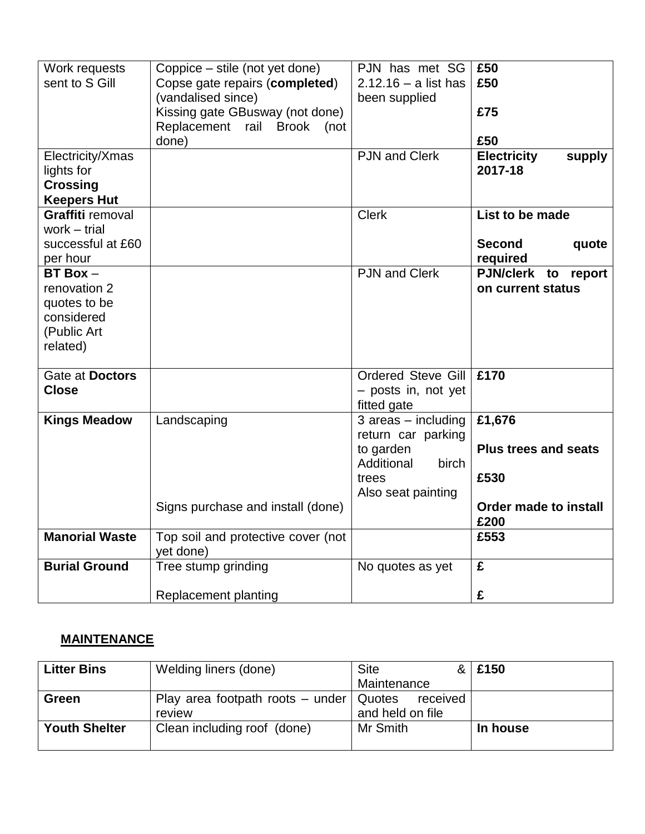| Work requests         | Coppice – stile (not yet done)     | PJN has met SG            | £50                          |
|-----------------------|------------------------------------|---------------------------|------------------------------|
| sent to S Gill        | Copse gate repairs (completed)     | $2.12.16 - a$ list has    | £50                          |
|                       | (vandalised since)                 | been supplied             |                              |
|                       | Kissing gate GBusway (not done)    |                           | £75                          |
|                       |                                    |                           |                              |
|                       | Replacement rail Brook<br>(not     |                           |                              |
|                       | done)                              |                           | £50                          |
| Electricity/Xmas      |                                    | <b>PJN and Clerk</b>      | <b>Electricity</b><br>supply |
| lights for            |                                    |                           | 2017-18                      |
| <b>Crossing</b>       |                                    |                           |                              |
| <b>Keepers Hut</b>    |                                    |                           |                              |
| Graffiti removal      |                                    | <b>Clerk</b>              | List to be made              |
| work $-$ trial        |                                    |                           |                              |
| successful at £60     |                                    |                           | <b>Second</b><br>quote       |
| per hour              |                                    |                           | required                     |
| $BT Box -$            |                                    | <b>PJN and Clerk</b>      | PJN/clerk to<br>report       |
| renovation 2          |                                    |                           | on current status            |
| quotes to be          |                                    |                           |                              |
| considered            |                                    |                           |                              |
| (Public Art           |                                    |                           |                              |
| related)              |                                    |                           |                              |
|                       |                                    |                           |                              |
| Gate at Doctors       |                                    | <b>Ordered Steve Gill</b> | £170                         |
|                       |                                    |                           |                              |
| <b>Close</b>          |                                    | - posts in, not yet       |                              |
|                       |                                    | fitted gate               |                              |
| <b>Kings Meadow</b>   | Landscaping                        | $3$ areas $-$ including   | £1,676                       |
|                       |                                    | return car parking        |                              |
|                       |                                    | to garden                 | <b>Plus trees and seats</b>  |
|                       |                                    | Additional<br>birch       |                              |
|                       |                                    | trees                     | £530                         |
|                       |                                    | Also seat painting        |                              |
|                       | Signs purchase and install (done)  |                           | Order made to install        |
|                       |                                    |                           | £200                         |
| <b>Manorial Waste</b> | Top soil and protective cover (not |                           | £553                         |
|                       | yet done)                          |                           |                              |
| <b>Burial Ground</b>  | Tree stump grinding                | No quotes as yet          | £                            |
|                       |                                    |                           |                              |
|                       | Replacement planting               |                           | £                            |

# **MAINTENANCE**

| <b>Litter Bins</b>   | Welding liners (done)                                | <b>Site</b>      | £150     |
|----------------------|------------------------------------------------------|------------------|----------|
|                      |                                                      | Maintenance      |          |
| Green                | Play area footpath roots $-$ under $\sqrt{ }$ Quotes | received         |          |
|                      | review                                               | and held on file |          |
| <b>Youth Shelter</b> | Clean including roof (done)                          | Mr Smith         | In house |
|                      |                                                      |                  |          |